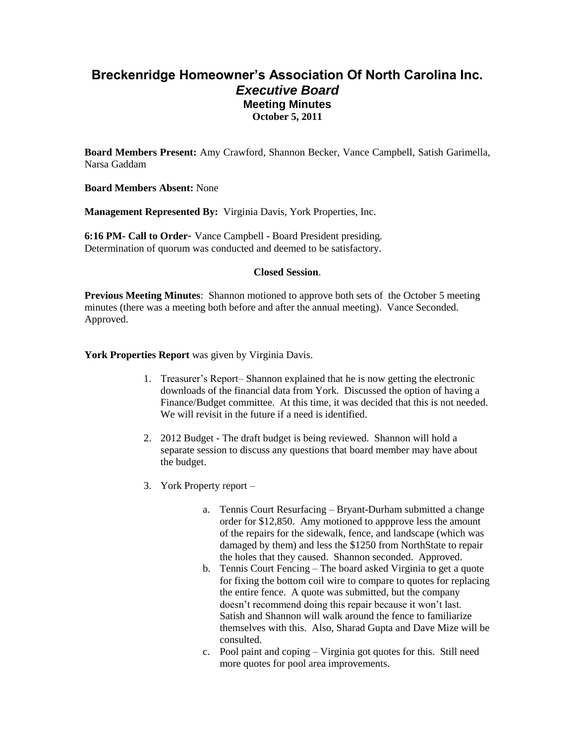# **Breckenridge Homeowner's Association Of North Carolina Inc.** *Executive Board* **Meeting Minutes October 5, 2011**

**Board Members Present:** Amy Crawford, Shannon Becker, Vance Campbell, Satish Garimella, Narsa Gaddam

**Board Members Absent:** None

**Management Represented By:** Virginia Davis, York Properties, Inc.

**6:16 PM- Call to Order**- Vance Campbell - Board President presiding. Determination of quorum was conducted and deemed to be satisfactory.

#### **Closed Session**.

**Previous Meeting Minutes**: Shannon motioned to approve both sets of the October 5 meeting minutes (there was a meeting both before and after the annual meeting). Vance Seconded. Approved.

York Properties Report was given by Virginia Davis.

- 1. Treasurer's Report– Shannon explained that he is now getting the electronic downloads of the financial data from York. Discussed the option of having a Finance/Budget committee. At this time, it was decided that this is not needed. We will revisit in the future if a need is identified.
- 2. 2012 Budget The draft budget is being reviewed. Shannon will hold a separate session to discuss any questions that board member may have about the budget.
- 3. York Property report
	- a. Tennis Court Resurfacing Bryant-Durham submitted a change order for \$12,850. Amy motioned to appprove less the amount of the repairs for the sidewalk, fence, and landscape (which was damaged by them) and less the \$1250 from NorthState to repair the holes that they caused. Shannon seconded. Approved.
	- b. Tennis Court Fencing The board asked Virginia to get a quote for fixing the bottom coil wire to compare to quotes for replacing the entire fence. A quote was submitted, but the company doesn't recommend doing this repair because it won't last. Satish and Shannon will walk around the fence to familiarize themselves with this. Also, Sharad Gupta and Dave Mize will be consulted.
	- c. Pool paint and coping Virginia got quotes for this. Still need more quotes for pool area improvements.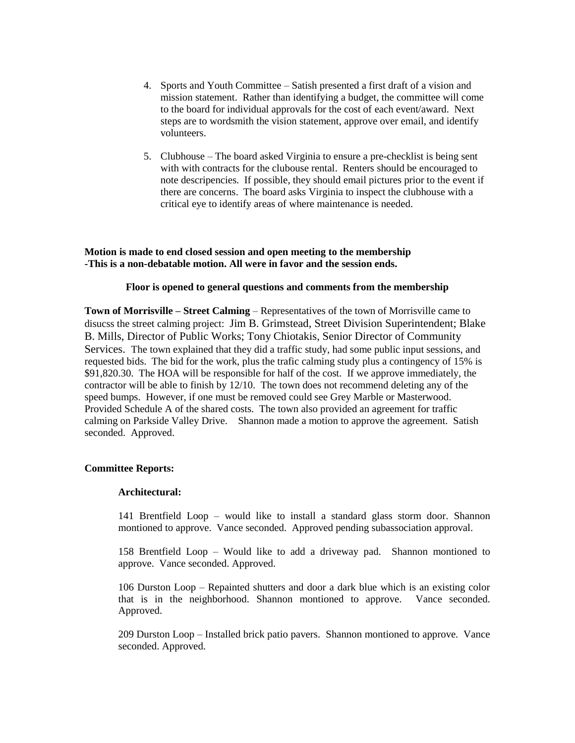- 4. Sports and Youth Committee Satish presented a first draft of a vision and mission statement. Rather than identifying a budget, the committee will come to the board for individual approvals for the cost of each event/award. Next steps are to wordsmith the vision statement, approve over email, and identify volunteers.
- 5. Clubhouse The board asked Virginia to ensure a pre-checklist is being sent with with contracts for the clubouse rental. Renters should be encouraged to note descripencies. If possible, they should email pictures prior to the event if there are concerns. The board asks Virginia to inspect the clubhouse with a critical eye to identify areas of where maintenance is needed.

#### **Motion is made to end closed session and open meeting to the membership -This is a non-debatable motion. All were in favor and the session ends.**

## **Floor is opened to general questions and comments from the membership**

**Town of Morrisville – Street Calming** – Representatives of the town of Morrisville came to disucss the street calming project: Jim B. Grimstead, Street Division Superintendent; Blake B. Mills, Director of Public Works; Tony Chiotakis, Senior Director of Community Services. The town explained that they did a traffic study, had some public input sessions, and requested bids. The bid for the work, plus the trafic calming study plus a contingency of 15% is \$91,820.30. The HOA will be responsible for half of the cost. If we approve immediately, the contractor will be able to finish by 12/10. The town does not recommend deleting any of the speed bumps. However, if one must be removed could see Grey Marble or Masterwood. Provided Schedule A of the shared costs. The town also provided an agreement for traffic calming on Parkside Valley Drive. Shannon made a motion to approve the agreement. Satish seconded. Approved.

## **Committee Reports:**

## **Architectural:**

141 Brentfield Loop – would like to install a standard glass storm door. Shannon montioned to approve. Vance seconded. Approved pending subassociation approval.

158 Brentfield Loop – Would like to add a driveway pad. Shannon montioned to approve. Vance seconded. Approved.

106 Durston Loop – Repainted shutters and door a dark blue which is an existing color that is in the neighborhood. Shannon montioned to approve. Vance seconded. Approved.

209 Durston Loop – Installed brick patio pavers. Shannon montioned to approve. Vance seconded. Approved.